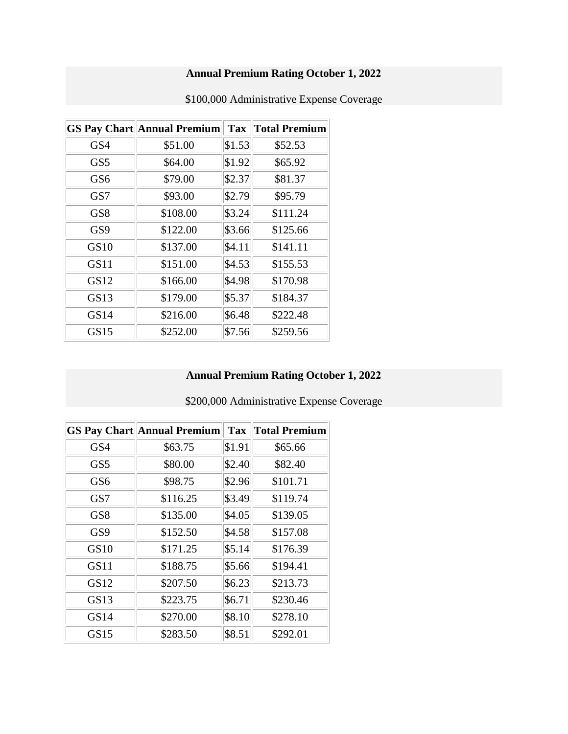# **Annual Premium Rating October 1, 2022**

|                 | <b>GS Pay Chart Annual Premium</b> | <b>Tax</b> | <b>Total Premium</b> |
|-----------------|------------------------------------|------------|----------------------|
| GS4             | \$51.00                            | \$1.53     | \$52.53              |
| GS <sub>5</sub> | \$64.00                            | \$1.92     | \$65.92              |
| GS6             | \$79.00                            | \$2.37     | \$81.37              |
| GS7             | \$93.00                            | \$2.79     | \$95.79              |
| GS8             | \$108.00                           | \$3.24     | \$111.24             |
| GS <sub>9</sub> | \$122.00                           | \$3.66     | \$125.66             |
| GS10            | \$137.00                           | \$4.11     | \$141.11             |
| GS11            | \$151.00                           | \$4.53     | \$155.53             |
| GS12            | \$166.00                           | \$4.98     | \$170.98             |
| GS13            | \$179.00                           | \$5.37     | \$184.37             |
| GS14            | \$216.00                           | \$6.48     | \$222.48             |
| GS15            | \$252.00                           | \$7.56     | \$259.56             |

\$100,000 Administrative Expense Coverage

# **Annual Premium Rating October 1, 2022**

\$200,000 Administrative Expense Coverage

|                 | <b>GS Pay Chart Annual Premium</b> | <b>Tax</b> | <b>Total Premium</b> |
|-----------------|------------------------------------|------------|----------------------|
| GS4             | \$63.75                            | \$1.91     | \$65.66              |
| GS5             | \$80.00                            | \$2.40     | \$82.40              |
| GS <sub>6</sub> | \$98.75                            | \$2.96     | \$101.71             |
| GS7             | \$116.25                           | \$3.49     | \$119.74             |
| GS <sub>8</sub> | \$135.00                           | \$4.05     | \$139.05             |
| GS9             | \$152.50                           | \$4.58     | \$157.08             |
| GS10            | \$171.25                           | \$5.14     | \$176.39             |
| <b>GS11</b>     | \$188.75                           | \$5.66     | \$194.41             |
| GS12            | \$207.50                           | \$6.23     | \$213.73             |
| GS13            | \$223.75                           | \$6.71     | \$230.46             |
| GS14            | \$270.00                           | \$8.10     | \$278.10             |
| <b>GS15</b>     | \$283.50                           | \$8.51     | \$292.01             |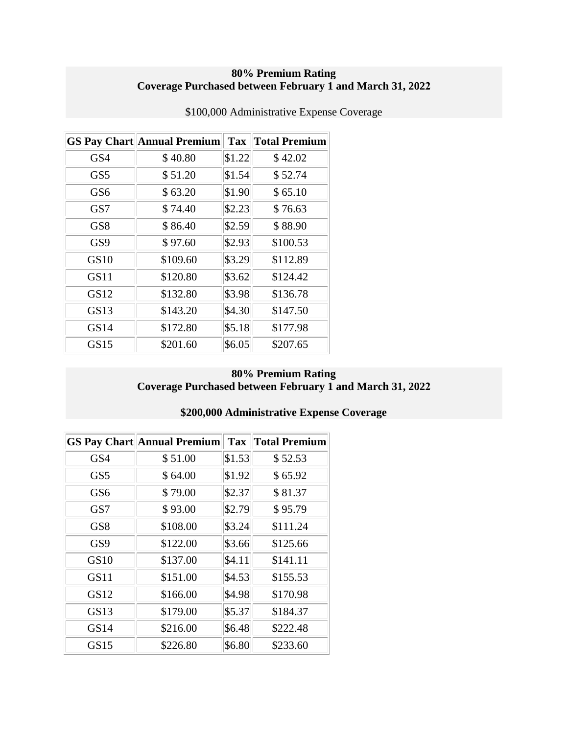#### **80% Premium Rating Coverage Purchased between February 1 and March 31, 2022**

|                  | <b>GS Pay Chart Annual Premium</b> |        | <b>Tax Total Premium</b> |
|------------------|------------------------------------|--------|--------------------------|
| GS4              | \$40.80                            | \$1.22 | \$42.02                  |
| GS <sub>5</sub>  | \$51.20                            | \$1.54 | \$52.74                  |
| GS <sub>6</sub>  | \$63.20                            | \$1.90 | \$65.10                  |
| GS7              | \$74.40                            | \$2.23 | \$76.63                  |
| GS <sub>8</sub>  | \$86.40                            | \$2.59 | \$88.90                  |
| GS <sub>9</sub>  | \$97.60                            | \$2.93 | \$100.53                 |
| GS <sub>10</sub> | \$109.60                           | \$3.29 | \$112.89                 |
| GS11             | \$120.80                           | \$3.62 | \$124.42                 |
| GS12             | \$132.80                           | \$3.98 | \$136.78                 |
| GS13             | \$143.20                           | \$4.30 | \$147.50                 |
| GS14             | \$172.80                           | \$5.18 | \$177.98                 |
| GS15             | \$201.60                           | \$6.05 | \$207.65                 |

\$100,000 Administrative Expense Coverage

### **80% Premium Rating Coverage Purchased between February 1 and March 31, 2022**

### **\$200,000 Administrative Expense Coverage**

|                 | <b>GS Pay Chart Annual Premium</b> | <b>Tax</b> | <b>Total Premium</b> |
|-----------------|------------------------------------|------------|----------------------|
| GS4             | \$51.00                            | \$1.53     | \$52.53              |
| GS <sub>5</sub> | \$64.00                            | \$1.92     | \$65.92              |
| GS <sub>6</sub> | \$79.00                            | \$2.37     | \$81.37              |
| GS7             | \$93.00                            | \$2.79     | \$95.79              |
| GS <sub>8</sub> | \$108.00                           | \$3.24     | \$111.24             |
| GS <sub>9</sub> | \$122.00                           | \$3.66     | \$125.66             |
| GS10            | \$137.00                           | \$4.11     | \$141.11             |
| GS11            | \$151.00                           | \$4.53     | \$155.53             |
| GS12            | \$166.00                           | \$4.98     | \$170.98             |
| GS13            | \$179.00                           | \$5.37     | \$184.37             |
| GS14            | \$216.00                           | \$6.48     | \$222.48             |
| GS15            | \$226.80                           | \$6.80     | \$233.60             |